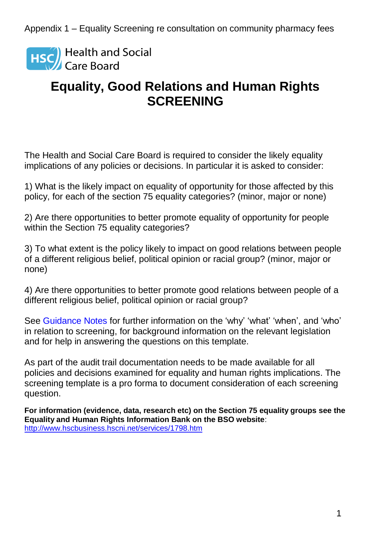**HSC** Health and Social<br>Care Board

## **Equality, Good Relations and Human Rights SCREENING**

The Health and Social Care Board is required to consider the likely equality implications of any policies or decisions. In particular it is asked to consider:

1) What is the likely impact on equality of opportunity for those affected by this policy, for each of the section 75 equality categories? (minor, major or none)

2) Are there opportunities to better promote equality of opportunity for people within the Section 75 equality categories?

3) To what extent is the policy likely to impact on good relations between people of a different religious belief, political opinion or racial group? (minor, major or none)

4) Are there opportunities to better promote good relations between people of a different religious belief, political opinion or racial group?

See Guidance Notes for further information on the 'why' 'what' 'when', and 'who' in relation to screening, for background information on the relevant legislation and for help in answering the questions on this template.

As part of the audit trail documentation needs to be made available for all policies and decisions examined for equality and human rights implications. The screening template is a pro forma to document consideration of each screening question.

**For information (evidence, data, research etc) on the Section 75 equality groups see the Equality and Human Rights Information Bank on the BSO website**: <http://www.hscbusiness.hscni.net/services/1798.htm>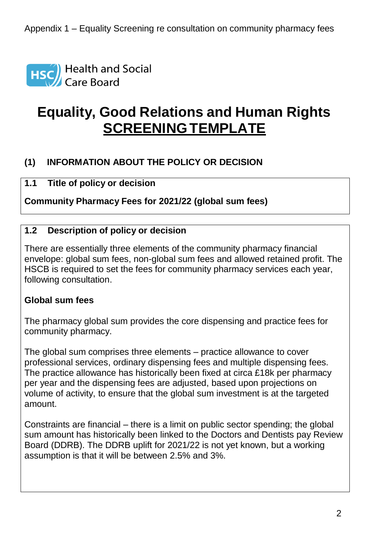

# **Equality, Good Relations and Human Rights SCREENING TEMPLATE**

## **(1) INFORMATION ABOUT THE POLICY OR DECISION**

## **1.1 Title of policy or decision**

**Community Pharmacy Fees for 2021/22 (global sum fees)**

#### **1.2 Description of policy or decision**

There are essentially three elements of the community pharmacy financial envelope: global sum fees, non-global sum fees and allowed retained profit. The HSCB is required to set the fees for community pharmacy services each year, following consultation.

#### **Global sum fees**

The pharmacy global sum provides the core dispensing and practice fees for community pharmacy.

The global sum comprises three elements – practice allowance to cover professional services, ordinary dispensing fees and multiple dispensing fees. The practice allowance has historically been fixed at circa £18k per pharmacy per year and the dispensing fees are adjusted, based upon projections on volume of activity, to ensure that the global sum investment is at the targeted amount.

Constraints are financial – there is a limit on public sector spending; the global sum amount has historically been linked to the Doctors and Dentists pay Review Board (DDRB). The DDRB uplift for 2021/22 is not yet known, but a working assumption is that it will be between 2.5% and 3%.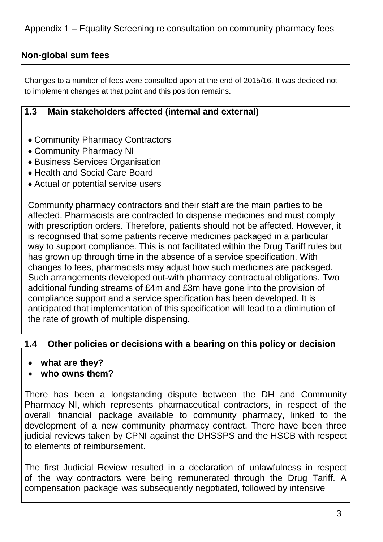## **Non-global sum fees**

Changes to a number of fees were consulted upon at the end of 2015/16. It was decided not to implement changes at that point and this position remains.

### **1.3 Main stakeholders affected (internal and external)**

- Community Pharmacy Contractors
- Community Pharmacy NI
- Business Services Organisation
- Health and Social Care Board
- Actual or potential service users

Community pharmacy contractors and their staff are the main parties to be affected. Pharmacists are contracted to dispense medicines and must comply with prescription orders. Therefore, patients should not be affected. However, it is recognised that some patients receive medicines packaged in a particular way to support compliance. This is not facilitated within the Drug Tariff rules but has grown up through time in the absence of a service specification. With changes to fees, pharmacists may adjust how such medicines are packaged. Such arrangements developed out-with pharmacy contractual obligations. Two additional funding streams of £4m and £3m have gone into the provision of compliance support and a service specification has been developed. It is anticipated that implementation of this specification will lead to a diminution of the rate of growth of multiple dispensing.

#### **1.4 Other policies or decisions with a bearing on this policy or decision**

- **what are they?**
- **who owns them?**

There has been a longstanding dispute between the DH and Community Pharmacy NI, which represents pharmaceutical contractors, in respect of the overall financial package available to community pharmacy, linked to the development of a new community pharmacy contract. There have been three judicial reviews taken by CPNI against the DHSSPS and the HSCB with respect to elements of reimbursement.

The first Judicial Review resulted in a declaration of unlawfulness in respect of the way contractors were being remunerated through the Drug Tariff. A compensation package was subsequently negotiated, followed by intensive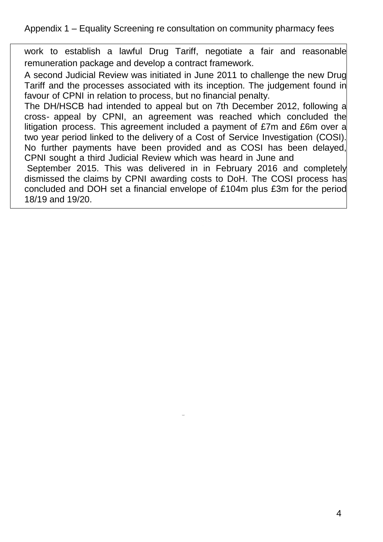work to establish a lawful Drug Tariff, negotiate a fair and reasonable remuneration package and develop a contract framework.

A second Judicial Review was initiated in June 2011 to challenge the new Drug Tariff and the processes associated with its inception. The judgement found in favour of CPNI in relation to process, but no financial penalty.

The DH/HSCB had intended to appeal but on 7th December 2012, following a cross- appeal by CPNI, an agreement was reached which concluded the litigation process. This agreement included a payment of £7m and £6m over a two year period linked to the delivery of a Cost of Service Investigation (COSI). No further payments have been provided and as COSI has been delayed, CPNI sought a third Judicial Review which was heard in June and

September 2015. This was delivered in in February 2016 and completely dismissed the claims by CPNI awarding costs to DoH. The COSI process has concluded and DOH set a financial envelope of £104m plus £3m for the period 18/19 and 19/20.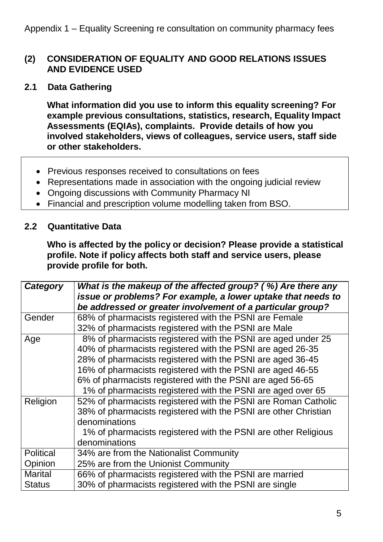#### **(2) CONSIDERATION OF EQUALITY AND GOOD RELATIONS ISSUES AND EVIDENCE USED**

**2.1 Data Gathering**

**What information did you use to inform this equality screening? For example previous consultations, statistics, research, Equality Impact Assessments (EQIAs), complaints. Provide details of how you involved stakeholders, views of colleagues, service users, staff side or other stakeholders.**

- Previous responses received to consultations on fees
- Representations made in association with the ongoing judicial review
- Ongoing discussions with Community Pharmacy NI
- Financial and prescription volume modelling taken from BSO.

#### **2.2 Quantitative Data**

**Who is affected by the policy or decision? Please provide a statistical profile. Note if policy affects both staff and service users, please provide profile for both.**

| Category         | What is the makeup of the affected group? (%) Are there any<br>issue or problems? For example, a lower uptake that needs to<br>be addressed or greater involvement of a particular group? |
|------------------|-------------------------------------------------------------------------------------------------------------------------------------------------------------------------------------------|
| Gender           | 68% of pharmacists registered with the PSNI are Female                                                                                                                                    |
|                  | 32% of pharmacists registered with the PSNI are Male                                                                                                                                      |
| Age              | 8% of pharmacists registered with the PSNI are aged under 25                                                                                                                              |
|                  | 40% of pharmacists registered with the PSNI are aged 26-35                                                                                                                                |
|                  | 28% of pharmacists registered with the PSNI are aged 36-45                                                                                                                                |
|                  | 16% of pharmacists registered with the PSNI are aged 46-55                                                                                                                                |
|                  | 6% of pharmacists registered with the PSNI are aged 56-65                                                                                                                                 |
|                  | 1% of pharmacists registered with the PSNI are aged over 65                                                                                                                               |
| Religion         | 52% of pharmacists registered with the PSNI are Roman Catholic                                                                                                                            |
|                  | 38% of pharmacists registered with the PSNI are other Christian                                                                                                                           |
|                  | denominations                                                                                                                                                                             |
|                  | 1% of pharmacists registered with the PSNI are other Religious                                                                                                                            |
|                  | denominations                                                                                                                                                                             |
| <b>Political</b> | 34% are from the Nationalist Community                                                                                                                                                    |
| Opinion          | 25% are from the Unionist Community                                                                                                                                                       |
| <b>Marital</b>   | 66% of pharmacists registered with the PSNI are married                                                                                                                                   |
| <b>Status</b>    | 30% of pharmacists registered with the PSNI are single                                                                                                                                    |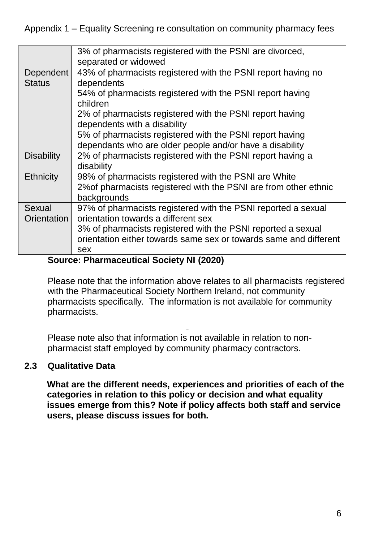|                            | 3% of pharmacists registered with the PSNI are divorced,<br>separated or widowed                                                         |
|----------------------------|------------------------------------------------------------------------------------------------------------------------------------------|
| Dependent<br><b>Status</b> | 43% of pharmacists registered with the PSNI report having no<br>dependents                                                               |
|                            | 54% of pharmacists registered with the PSNI report having<br>children                                                                    |
|                            | 2% of pharmacists registered with the PSNI report having<br>dependents with a disability                                                 |
|                            | 5% of pharmacists registered with the PSNI report having<br>dependants who are older people and/or have a disability                     |
| <b>Disability</b>          | 2% of pharmacists registered with the PSNI report having a<br>disability                                                                 |
| <b>Ethnicity</b>           | 98% of pharmacists registered with the PSNI are White<br>2% of pharmacists registered with the PSNI are from other ethnic<br>backgrounds |
| Sexual<br>Orientation      | 97% of pharmacists registered with the PSNI reported a sexual<br>orientation towards a different sex                                     |
|                            | 3% of pharmacists registered with the PSNI reported a sexual<br>orientation either towards same sex or towards same and different        |
|                            | sex                                                                                                                                      |

#### **Source: Pharmaceutical Society NI (2020)**

Please note that the information above relates to all pharmacists registered with the Pharmaceutical Society Northern Ireland, not community pharmacists specifically. The information is not available for community pharmacists.

Please note also that information is not available in relation to nonpharmacist staff employed by community pharmacy contractors.

#### **2.3 Qualitative Data**

**What are the different needs, experiences and priorities of each of the categories in relation to this policy or decision and what equality issues emerge from this? Note if policy affects both staff and service users, please discuss issues for both.**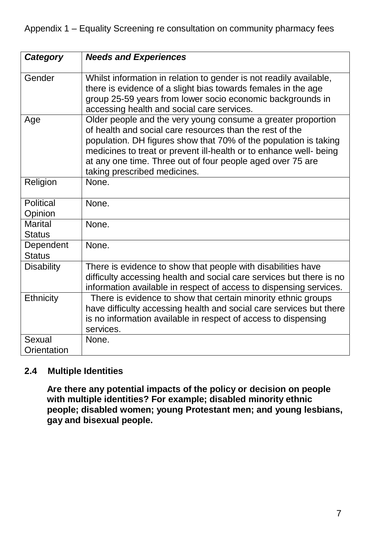| Category                        | <b>Needs and Experiences</b>                                                                                                                                                                                                                                                                                                                                     |
|---------------------------------|------------------------------------------------------------------------------------------------------------------------------------------------------------------------------------------------------------------------------------------------------------------------------------------------------------------------------------------------------------------|
| Gender                          | Whilst information in relation to gender is not readily available,<br>there is evidence of a slight bias towards females in the age<br>group 25-59 years from lower socio economic backgrounds in<br>accessing health and social care services.                                                                                                                  |
| Age                             | Older people and the very young consume a greater proportion<br>of health and social care resources than the rest of the<br>population. DH figures show that 70% of the population is taking<br>medicines to treat or prevent ill-health or to enhance well- being<br>at any one time. Three out of four people aged over 75 are<br>taking prescribed medicines. |
| Religion                        | None.                                                                                                                                                                                                                                                                                                                                                            |
| <b>Political</b><br>Opinion     | None.                                                                                                                                                                                                                                                                                                                                                            |
| <b>Marital</b><br><b>Status</b> | None.                                                                                                                                                                                                                                                                                                                                                            |
| Dependent<br><b>Status</b>      | None.                                                                                                                                                                                                                                                                                                                                                            |
| <b>Disability</b>               | There is evidence to show that people with disabilities have<br>difficulty accessing health and social care services but there is no<br>information available in respect of access to dispensing services.                                                                                                                                                       |
| Ethnicity                       | There is evidence to show that certain minority ethnic groups<br>have difficulty accessing health and social care services but there<br>is no information available in respect of access to dispensing<br>services.                                                                                                                                              |
| Sexual                          | None.                                                                                                                                                                                                                                                                                                                                                            |
| Orientation                     |                                                                                                                                                                                                                                                                                                                                                                  |

#### **2.4 Multiple Identities**

**Are there any potential impacts of the policy or decision on people with multiple identities? For example; disabled minority ethnic people; disabled women; young Protestant men; and young lesbians, gay and bisexual people.**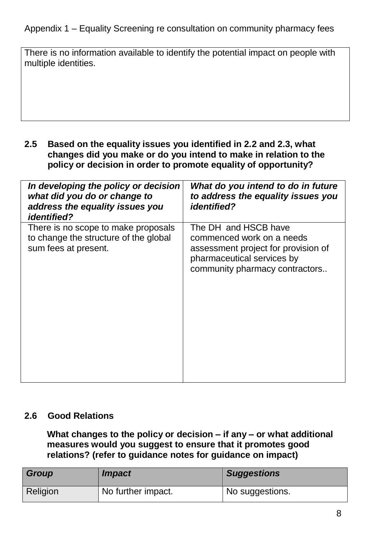There is no information available to identify the potential impact on people with multiple identities.

**2.5 Based on the equality issues you identified in 2.2 and 2.3, what changes did you make or do you intend to make in relation to the policy or decision in order to promote equality of opportunity?**

| In developing the policy or decision<br>what did you do or change to<br>address the equality issues you<br><i>identified?</i> | What do you intend to do in future<br>to address the equality issues you<br><i>identified?</i>                                                           |
|-------------------------------------------------------------------------------------------------------------------------------|----------------------------------------------------------------------------------------------------------------------------------------------------------|
| There is no scope to make proposals<br>to change the structure of the global<br>sum fees at present.                          | The DH and HSCB have<br>commenced work on a needs<br>assessment project for provision of<br>pharmaceutical services by<br>community pharmacy contractors |

#### **2.6 Good Relations**

**What changes to the policy or decision – if any – or what additional measures would you suggest to ensure that it promotes good relations? (refer to guidance notes for guidance on impact)**

| Group    | <i><b>Impact</b></i> | <b>Suggestions</b> |
|----------|----------------------|--------------------|
| Religion | No further impact.   | No suggestions.    |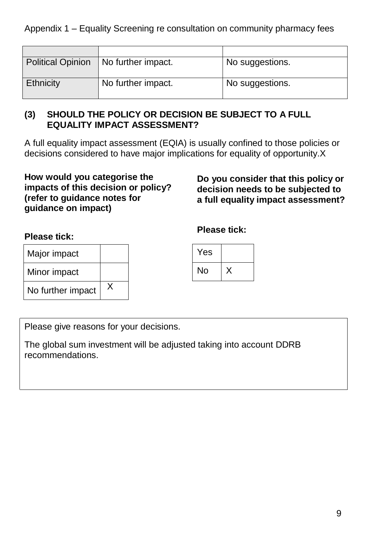| <b>Political Opinion</b> | No further impact. | No suggestions.              |
|--------------------------|--------------------|------------------------------|
| <b>Ethnicity</b>         | No further impact. | <sup>1</sup> No suggestions. |

#### **(3) SHOULD THE POLICY OR DECISION BE SUBJECT TO A FULL EQUALITY IMPACT ASSESSMENT?**

A full equality impact assessment (EQIA) is usually confined to those policies or decisions considered to have major implications for equality of opportunity.X

#### **How would you categorise the impacts of this decision or policy? (refer to guidance notes for guidance on impact)**

**Do you consider that this policy or decision needs to be subjected to a full equality impact assessment?**

## **Please tick:**

**Please tick:**

| Major impact      |   |
|-------------------|---|
| Minor impact      |   |
| No further impact | X |

| Yes |  |
|-----|--|
| No  |  |

Please give reasons for your decisions.

The global sum investment will be adjusted taking into account DDRB recommendations.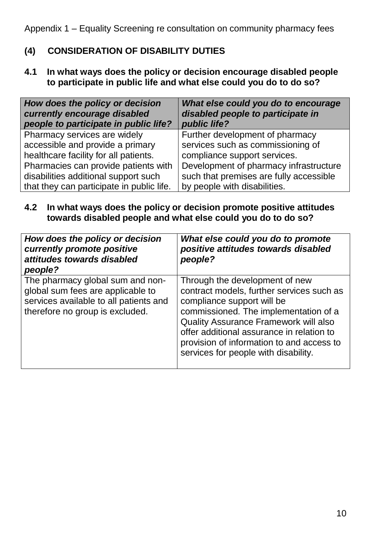## **(4) CONSIDERATION OF DISABILITY DUTIES**

**4.1 In what ways does the policy or decision encourage disabled people to participate in public life and what else could you do to do so?**

| How does the policy or decision<br>currently encourage disabled<br>people to participate in public life? | What else could you do to encourage<br>disabled people to participate in<br>public life? |  |
|----------------------------------------------------------------------------------------------------------|------------------------------------------------------------------------------------------|--|
| Pharmacy services are widely                                                                             | Further development of pharmacy                                                          |  |
| accessible and provide a primary                                                                         | services such as commissioning of                                                        |  |
| healthcare facility for all patients.                                                                    | compliance support services.                                                             |  |
| Pharmacies can provide patients with                                                                     | Development of pharmacy infrastructure                                                   |  |
| disabilities additional support such                                                                     | such that premises are fully accessible                                                  |  |
| that they can participate in public life.                                                                | by people with disabilities.                                                             |  |

#### **4.2 In what ways does the policy or decision promote positive attitudes towards disabled people and what else could you do to do so?**

| How does the policy or decision<br>currently promote positive<br>attitudes towards disabled<br>people?                                             | What else could you do to promote<br>positive attitudes towards disabled<br>people?                                                                                                                                                                                                                                                  |
|----------------------------------------------------------------------------------------------------------------------------------------------------|--------------------------------------------------------------------------------------------------------------------------------------------------------------------------------------------------------------------------------------------------------------------------------------------------------------------------------------|
| The pharmacy global sum and non-<br>global sum fees are applicable to<br>services available to all patients and<br>therefore no group is excluded. | Through the development of new<br>contract models, further services such as<br>compliance support will be<br>commissioned. The implementation of a<br><b>Quality Assurance Framework will also</b><br>offer additional assurance in relation to<br>provision of information to and access to<br>services for people with disability. |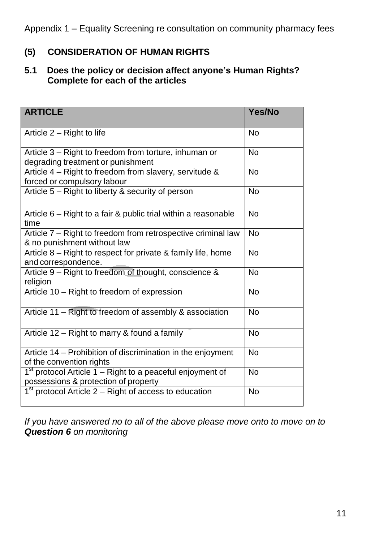## **(5) CONSIDERATION OF HUMAN RIGHTS**

## **5.1 Does the policy or decision affect anyone's Human Rights? Complete for each of the articles**

| <b>ARTICLE</b>                                                                                                | Yes/No    |
|---------------------------------------------------------------------------------------------------------------|-----------|
| Article 2 – Right to life                                                                                     | <b>No</b> |
| Article 3 - Right to freedom from torture, inhuman or<br>degrading treatment or punishment                    | <b>No</b> |
| Article 4 – Right to freedom from slavery, servitude &<br>forced or compulsory labour                         | <b>No</b> |
| Article 5 - Right to liberty & security of person                                                             | <b>No</b> |
| Article 6 – Right to a fair & public trial within a reasonable<br>time                                        | <b>No</b> |
| Article 7 - Right to freedom from retrospective criminal law<br>& no punishment without law                   | <b>No</b> |
| Article 8 – Right to respect for private & family life, home<br>and correspondence.                           | <b>No</b> |
| Article 9 - Right to freedom of thought, conscience &<br>religion                                             | <b>No</b> |
| Article 10 - Right to freedom of expression                                                                   | <b>No</b> |
| Article 11 - Right to freedom of assembly & association                                                       | <b>No</b> |
| Article 12 – Right to marry & found a family                                                                  | <b>No</b> |
| Article 14 - Prohibition of discrimination in the enjoyment<br>of the convention rights                       | <b>No</b> |
| 1 <sup>st</sup> protocol Article 1 – Right to a peaceful enjoyment of<br>possessions & protection of property | <b>No</b> |
| $1st$ protocol Article 2 – Right of access to education                                                       | <b>No</b> |

*If you have answered no to all of the above please move onto to move on to Question 6 on monitoring*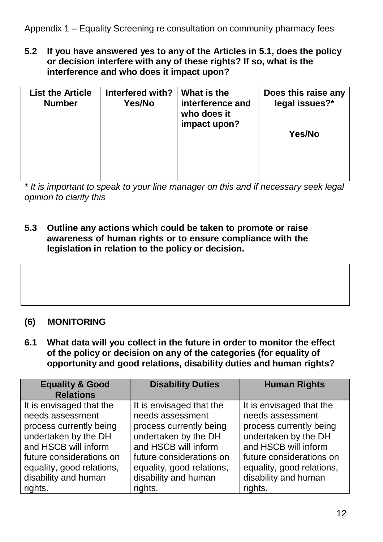**5.2 If you have answered yes to any of the Articles in 5.1, does the policy or decision interfere with any of these rights? If so, what is the interference and who does it impact upon?**

| <b>List the Article</b><br><b>Number</b> | Interfered with?<br>Yes/No | What is the<br>interference and<br>who does it<br>impact upon? | Does this raise any<br>legal issues?*<br>Yes/No |
|------------------------------------------|----------------------------|----------------------------------------------------------------|-------------------------------------------------|
|                                          |                            |                                                                |                                                 |

*\* It is important to speak to your line manager on this and if necessary seek legal opinion to clarify this*

**5.3 Outline any actions which could be taken to promote or raise awareness of human rights or to ensure compliance with the legislation in relation to the policy or decision.**



## **(6) MONITORING**

**6.1 What data will you collect in the future in order to monitor the effect of the policy or decision on any of the categories (for equality of opportunity and good relations, disability duties and human rights?**

| <b>Equality &amp; Good</b><br><b>Relations</b> | <b>Disability Duties</b>  | <b>Human Rights</b>       |
|------------------------------------------------|---------------------------|---------------------------|
| It is envisaged that the                       | It is envisaged that the  | It is envisaged that the  |
| needs assessment                               | needs assessment          | needs assessment          |
| process currently being                        | process currently being   | process currently being   |
| undertaken by the DH                           | undertaken by the DH      | undertaken by the DH      |
| and HSCB will inform                           | and HSCB will inform      | and HSCB will inform      |
| future considerations on                       | future considerations on  | future considerations on  |
| equality, good relations,                      | equality, good relations, | equality, good relations, |
| disability and human                           | disability and human      | disability and human      |
| rights.                                        | rights.                   | rights.                   |